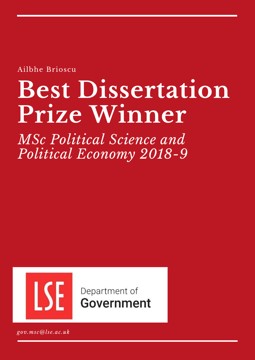Ailbhe Brioscu

# **Best Dissertation Prize Winner**

*MSc Political Science and Political Economy 2018-9*



Department of **Government** 

*gov.msc@lse.ac.uk*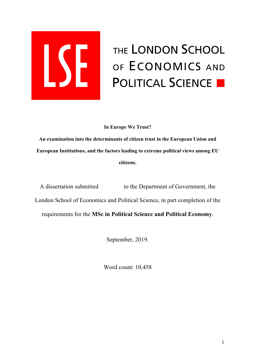

# THE LONDON SCHOOL OF ECONOMICS AND **POLITICAL SCIENCE E**

**In Europe We Trust?** 

**An examination into the determinants of citizen trust in the European Union and European Institutions, and the factors leading to extreme political views among EU citizens.** 

A dissertation submitted to the Department of Government, the London School of Economics and Political Science, in part completion of the requirements for the **MSc in Political Science and Political Economy**.

September, 2019.

Word count: 10,458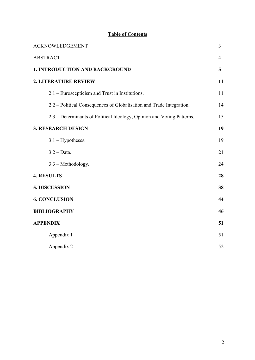# **Table of Contents**

| <b>ACKNOWLEDGEMENT</b>                                                 | $\overline{3}$ |
|------------------------------------------------------------------------|----------------|
| <b>ABSTRACT</b>                                                        | $\overline{4}$ |
| <b>1. INTRODUCTION AND BACKGROUND</b>                                  | 5              |
| <b>2. LITERATURE REVIEW</b>                                            | 11             |
| 2.1 – Euroscepticism and Trust in Institutions.                        | 11             |
| 2.2 – Political Consequences of Globalisation and Trade Integration.   | 14             |
| 2.3 – Determinants of Political Ideology, Opinion and Voting Patterns. | 15             |
| <b>3. RESEARCH DESIGN</b>                                              | 19             |
| $3.1 - Hypotheses.$                                                    | 19             |
| $3.2 - Data.$                                                          | 21             |
| 3.3 - Methodology.                                                     | 24             |
| <b>4. RESULTS</b>                                                      | 28             |
| 5. DISCUSSION                                                          | 38             |
| <b>6. CONCLUSION</b>                                                   | 44             |
| <b>BIBLIOGRAPHY</b>                                                    | 46             |
| <b>APPENDIX</b>                                                        | 51             |
| Appendix 1                                                             | 51             |
| Appendix 2                                                             | 52             |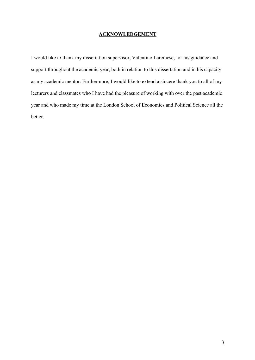#### **ACKNOWLEDGEMENT**

I would like to thank my dissertation supervisor, Valentino Larcinese, for his guidance and support throughout the academic year, both in relation to this dissertation and in his capacity as my academic mentor. Furthermore, I would like to extend a sincere thank you to all of my lecturers and classmates who I have had the pleasure of working with over the past academic year and who made my time at the London School of Economics and Political Science all the better.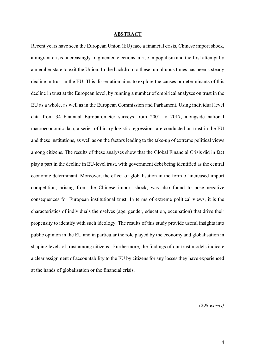#### **ABSTRACT**

Recent years have seen the European Union (EU) face a financial crisis, Chinese import shock, a migrant crisis, increasingly fragmented elections, a rise in populism and the first attempt by a member state to exit the Union. In the backdrop to these tumultuous times has been a steady decline in trust in the EU. This dissertation aims to explore the causes or determinants of this decline in trust at the European level, by running a number of empirical analyses on trust in the EU as a whole, as well as in the European Commission and Parliament. Using individual level data from 34 biannual Eurobarometer surveys from 2001 to 2017, alongside national macroeconomic data; a series of binary logistic regressions are conducted on trust in the EU and these institutions, as well as on the factors leading to the take-up of extreme political views among citizens. The results of these analyses show that the Global Financial Crisis did in fact play a part in the decline in EU-level trust, with government debt being identified as the central economic determinant. Moreover, the effect of globalisation in the form of increased import competition, arising from the Chinese import shock, was also found to pose negative consequences for European institutional trust. In terms of extreme political views, it is the characteristics of individuals themselves (age, gender, education, occupation) that drive their propensity to identify with such ideology. The results of this study provide useful insights into public opinion in the EU and in particular the role played by the economy and globalisation in shaping levels of trust among citizens. Furthermore, the findings of our trust models indicate a clear assignment of accountability to the EU by citizens for any losses they have experienced at the hands of globalisation or the financial crisis.

*[298 words]*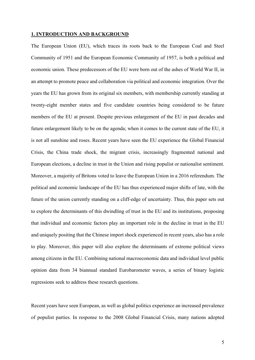#### **1. INTRODUCTION AND BACKGROUND**

The European Union (EU), which traces its roots back to the European Coal and Steel Community of 1951 and the European Economic Community of 1957, is both a political and economic union. These predecessors of the EU were born out of the ashes of World War II, in an attempt to promote peace and collaboration via political and economic integration. Over the years the EU has grown from its original six members, with membership currently standing at twenty-eight member states and five candidate countries being considered to be future members of the EU at present. Despite previous enlargement of the EU in past decades and future enlargement likely to be on the agenda; when it comes to the current state of the EU, it is not all sunshine and roses. Recent years have seen the EU experience the Global Financial Crisis, the China trade shock, the migrant crisis, increasingly fragmented national and European elections, a decline in trust in the Union and rising populist or nationalist sentiment. Moreover, a majority of Britons voted to leave the European Union in a 2016 referendum. The political and economic landscape of the EU has thus experienced major shifts of late, with the future of the union currently standing on a cliff-edge of uncertainty. Thus, this paper sets out to explore the determinants of this dwindling of trust in the EU and its institutions, proposing that individual and economic factors play an important role in the decline in trust in the EU and uniquely positing that the Chinese import shock experienced in recent years, also has a role to play. Moreover, this paper will also explore the determinants of extreme political views among citizens in the EU. Combining national macroeconomic data and individual level public opinion data from 34 biannual standard Eurobarometer waves, a series of binary logistic regressions seek to address these research questions.

Recent years have seen European, as well as global politics experience an increased prevalence of populist parties. In response to the 2008 Global Financial Crisis, many nations adopted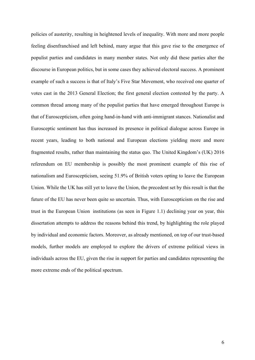policies of austerity, resulting in heightened levels of inequality. With more and more people feeling disenfranchised and left behind, many argue that this gave rise to the emergence of populist parties and candidates in many member states. Not only did these parties alter the discourse in European politics, but in some cases they achieved electoral success. A prominent example of such a success is that of Italy's Five Star Movement, who received one quarter of votes cast in the 2013 General Election; the first general election contested by the party. A common thread among many of the populist parties that have emerged throughout Europe is that of Euroscepticism, often going hand-in-hand with anti-immigrant stances. Nationalist and Eurosceptic sentiment has thus increased its presence in political dialogue across Europe in recent years, leading to both national and European elections yielding more and more fragmented results, rather than maintaining the status quo. The United Kingdom's (UK) 2016 referendum on EU membership is possibly the most prominent example of this rise of nationalism and Euroscepticism, seeing 51.9% of British voters opting to leave the European Union. While the UK has still yet to leave the Union, the precedent set by this result is that the future of the EU has never been quite so uncertain. Thus, with Euroscepticism on the rise and trust in the European Union institutions (as seen in Figure 1.1) declining year on year, this dissertation attempts to address the reasons behind this trend, by highlighting the role played by individual and economic factors. Moreover, as already mentioned, on top of our trust-based models, further models are employed to explore the drivers of extreme political views in individuals across the EU, given the rise in support for parties and candidates representing the more extreme ends of the political spectrum.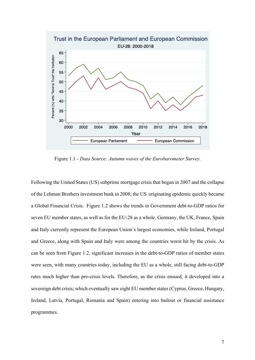

Figure 1.1 - *Data Source: Autumn waves of the Eurobarometer Survey.*

Following the United States (US) subprime mortgage crisis that began in 2007 and the collapse of the Lehman Brothers investment bank in 2008; the US originating epidemic quickly became a Global Financial Crisis. Figure 1.2 shows the trends in Government debt-to-GDP ratios for seven EU member states, as well as for the EU-28 as a whole. Germany, the UK, France, Spain and Italy currently represent the European Union's largest economies, while Ireland, Portugal and Greece, along with Spain and Italy were among the countries worst hit by the crisis. As can be seen from Figure 1.2, significant increases in the debt-to-GDP ratios of member states were seen, with many countries today, including the EU as a whole, still facing debt-to-GDP rates much higher than pre-crisis levels. Therefore, as the crisis ensued, it developed into a sovereign debt crisis; which eventually saw eight EU member states (Cyprus, Greece, Hungary, Ireland, Latvia, Portugal, Romania and Spain) entering into bailout or financial assistance programmes.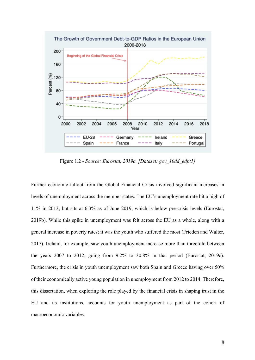

Figure 1.2 - *Source: Eurostat, 2019a. [Dataset: gov\_10dd\_edpt1]*

Further economic fallout from the Global Financial Crisis involved significant increases in levels of unemployment across the member states. The EU's unemployment rate hit a high of 11% in 2013, but sits at 6.3% as of June 2019, which is below pre-crisis levels (Eurostat, 2019b). While this spike in unemployment was felt across the EU as a whole, along with a general increase in poverty rates; it was the youth who suffered the most (Frieden and Walter, 2017). Ireland, for example, saw youth unemployment increase more than threefold between the years 2007 to 2012, going from 9.2% to 30.8% in that period (Eurostat, 2019c). Furthermore, the crisis in youth unemployment saw both Spain and Greece having over 50% of their economically active young population in unemployment from 2012 to 2014. Therefore, this dissertation, when exploring the role played by the financial crisis in shaping trust in the EU and its institutions, accounts for youth unemployment as part of the cohort of macroeconomic variables.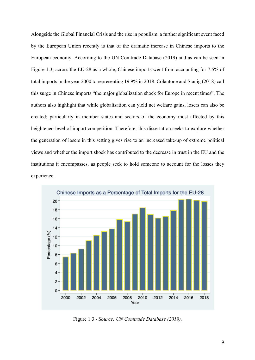Alongside the Global Financial Crisis and the rise in populism, a further significant event faced by the European Union recently is that of the dramatic increase in Chinese imports to the European economy. According to the UN Comtrade Database (2019) and as can be seen in Figure 1.3; across the EU-28 as a whole, Chinese imports went from accounting for 7.5% of total imports in the year 2000 to representing 19.9% in 2018. Colantone and Stanig (2018) call this surge in Chinese imports "the major globalization shock for Europe in recent times". The authors also highlight that while globalisation can yield net welfare gains, losers can also be created; particularly in member states and sectors of the economy most affected by this heightened level of import competition. Therefore, this dissertation seeks to explore whether the generation of losers in this setting gives rise to an increased take-up of extreme political views and whether the import shock has contributed to the decrease in trust in the EU and the institutions it encompasses, as people seek to hold someone to account for the losses they experience.



Figure 1.3 - *Source: UN Comtrade Database (2019).*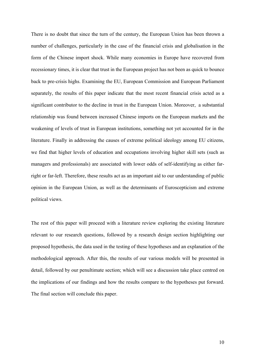There is no doubt that since the turn of the century, the European Union has been thrown a number of challenges, particularly in the case of the financial crisis and globalisation in the form of the Chinese import shock. While many economies in Europe have recovered from recessionary times, it is clear that trust in the European project has not been as quick to bounce back to pre-crisis highs. Examining the EU, European Commission and European Parliament separately, the results of this paper indicate that the most recent financial crisis acted as a significant contributor to the decline in trust in the European Union. Moreover, a substantial relationship was found between increased Chinese imports on the European markets and the weakening of levels of trust in European institutions, something not yet accounted for in the literature. Finally in addressing the causes of extreme political ideology among EU citizens, we find that higher levels of education and occupations involving higher skill sets (such as managers and professionals) are associated with lower odds of self-identifying as either farright or far-left. Therefore, these results act as an important aid to our understanding of public opinion in the European Union, as well as the determinants of Euroscepticism and extreme political views.

The rest of this paper will proceed with a literature review exploring the existing literature relevant to our research questions, followed by a research design section highlighting our proposed hypothesis, the data used in the testing of these hypotheses and an explanation of the methodological approach. After this, the results of our various models will be presented in detail, followed by our penultimate section; which will see a discussion take place centred on the implications of our findings and how the results compare to the hypotheses put forward. The final section will conclude this paper.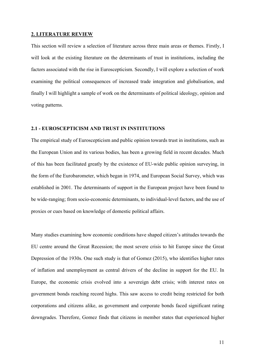#### **2. LITERATURE REVIEW**

This section will review a selection of literature across three main areas or themes. Firstly, I will look at the existing literature on the determinants of trust in institutions, including the factors associated with the rise in Euroscepticism. Secondly, I will explore a selection of work examining the political consequences of increased trade integration and globalisation, and finally I will highlight a sample of work on the determinants of political ideology, opinion and voting patterns.

#### **2.1 - EUROSCEPTICISM AND TRUST IN INSTITUTIONS**

The empirical study of Euroscepticism and public opinion towards trust in institutions, such as the European Union and its various bodies, has been a growing field in recent decades. Much of this has been facilitated greatly by the existence of EU-wide public opinion surveying, in the form of the Eurobarometer, which began in 1974, and European Social Survey, which was established in 2001. The determinants of support in the European project have been found to be wide-ranging; from socio-economic determinants, to individual-level factors, and the use of proxies or cues based on knowledge of domestic political affairs.

Many studies examining how economic conditions have shaped citizen's attitudes towards the EU centre around the Great Recession; the most severe crisis to hit Europe since the Great Depression of the 1930s. One such study is that of Gomez (2015), who identifies higher rates of inflation and unemployment as central drivers of the decline in support for the EU. In Europe, the economic crisis evolved into a sovereign debt crisis; with interest rates on government bonds reaching record highs. This saw access to credit being restricted for both corporations and citizens alike, as government and corporate bonds faced significant rating downgrades. Therefore, Gomez finds that citizens in member states that experienced higher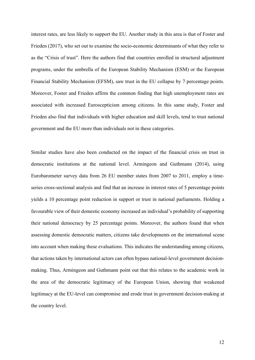interest rates, are less likely to support the EU. Another study in this area is that of Foster and Frieden (2017), who set out to examine the socio-economic determinants of what they refer to as the "Crisis of trust". Here the authors find that countries enrolled in structural adjustment programs, under the umbrella of the European Stability Mechanism (ESM) or the European Financial Stability Mechanism (EFSM), saw trust in the EU collapse by 7 percentage points. Moreover, Foster and Frieden affirm the common finding that high unemployment rates are associated with increased Euroscepticism among citizens. In this same study, Foster and Frieden also find that individuals with higher education and skill levels, tend to trust national government and the EU more than individuals not in these categories.

Similar studies have also been conducted on the impact of the financial crisis on trust in democratic institutions at the national level. Armingeon and Guthmann (2014), using Eurobarometer survey data from 26 EU member states from 2007 to 2011, employ a timeseries cross-sectional analysis and find that an increase in interest rates of 5 percentage points yields a 10 percentage point reduction in support or trust in national parliaments. Holding a favourable view of their domestic economy increased an individual's probability of supporting their national democracy by 25 percentage points. Moreover, the authors found that when assessing domestic democratic matters, citizens take developments on the international scene into account when making these evaluations. This indicates the understanding among citizens, that actions taken by international actors can often bypass national-level government decisionmaking. Thus, Armingeon and Guthmann point out that this relates to the academic work in the area of the democratic legitimacy of the European Union, showing that weakened legitimacy at the EU-level can compromise and erode trust in government decision-making at the country level.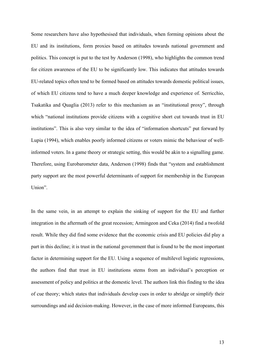Some researchers have also hypothesised that individuals, when forming opinions about the EU and its institutions, form proxies based on attitudes towards national government and politics. This concept is put to the test by Anderson (1998), who highlights the common trend for citizen awareness of the EU to be significantly low. This indicates that attitudes towards EU-related topics often tend to be formed based on attitudes towards domestic political issues, of which EU citizens tend to have a much deeper knowledge and experience of. Serricchio, Tsakatika and Quaglia (2013) refer to this mechanism as an "institutional proxy", through which "national institutions provide citizens with a cognitive short cut towards trust in EU institutions". This is also very similar to the idea of "information shortcuts" put forward by Lupia (1994), which enables poorly informed citizens or voters mimic the behaviour of wellinformed voters. In a game theory or strategic setting, this would be akin to a signalling game. Therefore, using Eurobarometer data, Anderson (1998) finds that "system and establishment party support are the most powerful determinants of support for membership in the European Union".

In the same vein, in an attempt to explain the sinking of support for the EU and further integration in the aftermath of the great recession; Armingeon and Ceka (2014) find a twofold result. While they did find some evidence that the economic crisis and EU policies did play a part in this decline; it is trust in the national government that is found to be the most important factor in determining support for the EU. Using a sequence of multilevel logistic regressions, the authors find that trust in EU institutions stems from an individual's perception or assessment of policy and politics at the domestic level. The authors link this finding to the idea of cue theory; which states that individuals develop cues in order to abridge or simplify their surroundings and aid decision-making. However, in the case of more informed Europeans, this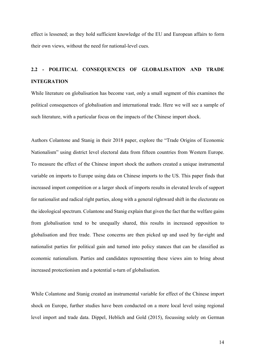effect is lessened; as they hold sufficient knowledge of the EU and European affairs to form their own views, without the need for national-level cues.

# **2.2 - POLITICAL CONSEQUENCES OF GLOBALISATION AND TRADE INTEGRATION**

While literature on globalisation has become vast, only a small segment of this examines the political consequences of globalisation and international trade. Here we will see a sample of such literature, with a particular focus on the impacts of the Chinese import shock.

Authors Colantone and Stanig in their 2018 paper, explore the "Trade Origins of Economic Nationalism" using district level electoral data from fifteen countries from Western Europe. To measure the effect of the Chinese import shock the authors created a unique instrumental variable on imports to Europe using data on Chinese imports to the US. This paper finds that increased import competition or a larger shock of imports results in elevated levels of support for nationalist and radical right parties, along with a general rightward shift in the electorate on the ideological spectrum. Colantone and Stanig explain that given the fact that the welfare gains from globalisation tend to be unequally shared, this results in increased opposition to globalisation and free trade. These concerns are then picked up and used by far-right and nationalist parties for political gain and turned into policy stances that can be classified as economic nationalism. Parties and candidates representing these views aim to bring about increased protectionism and a potential u-turn of globalisation.

While Colantone and Stanig created an instrumental variable for effect of the Chinese import shock on Europe, further studies have been conducted on a more local level using regional level import and trade data. Dippel, Heblich and Gold (2015), focussing solely on German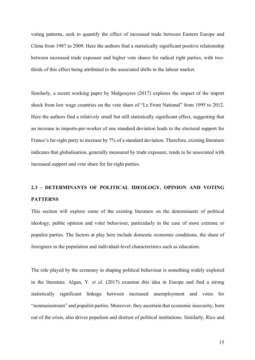voting patterns, seek to quantify the effect of increased trade between Eastern Europe and China from 1987 to 2009. Here the authors find a statistically significant positive relationship between increased trade exposure and higher vote shares for radical right parties, with twothirds of this effect being attributed to the associated shifts in the labour market.

Similarly, a recent working paper by Malgouyres (2017) explores the impact of the import shock from low wage countries on the vote share of "Le Front National" from 1995 to 2012. Here the authors find a relatively small but still statistically significant effect, suggesting that an increase in imports-per-worker of one standard deviation leads to the electoral support for France's far-right party to increase by 7% of a standard deviation. Therefore, existing literature indicates that globalisation, generally measured by trade exposure, tends to be associated with increased support and vote share for far-right parties.

# **2.3 - DETERMINANTS OF POLITICAL IDEOLOGY, OPINION AND VOTING PATTERNS**

This section will explore some of the existing literature on the determinants of political ideology, public opinion and voter behaviour, particularly in the case of more extreme or populist parties. The factors at play here include domestic economic conditions, the share of foreigners in the population and individual-level characteristics such as education.

The role played by the economy in shaping political behaviour is something widely explored in the literature. Algan, Y. *et al*. (2017) examine this idea in Europe and find a strong statistically significant linkage between increased unemployment and votes for "nonmainstream" and populist parties. Moreover, they ascertain that economic insecurity, born out of the crisis, also drives populism and distrust of political institutions. Similarly, Rico and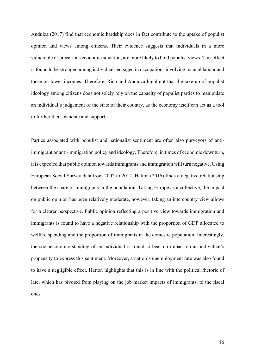Anduiza (2017) find that economic hardship does in fact contribute to the uptake of populist opinion and views among citizens. Their evidence suggests that individuals in a more vulnerable or precarious economic situation, are more likely to hold populist views. This effect is found to be stronger among individuals engaged in occupations involving manual labour and those on lower incomes. Therefore, Rico and Anduiza highlight that the take-up of populist ideology among citizens does not solely rely on the capacity of populist parties to manipulate an individual's judgement of the state of their country, as the economy itself can act as a tool to further their mandate and support.

Parties associated with populist and nationalist sentiment are often also purveyors of antiimmigrant or anti-immigration policy and ideology. Therefore, in times of economic downturn, it is expected that public opinion towards immigrants and immigration will turn negative. Using European Social Survey data from 2002 to 2012, Hatton (2016) finds a negative relationship between the share of immigrants in the population. Taking Europe as a collective, the impact on public opinion has been relatively moderate, however, taking an intercountry view allows for a clearer perspective. Public opinion reflecting a positive view towards immigration and immigrants is found to have a negative relationship with the proportion of GDP allocated to welfare spending and the proportion of immigrants in the domestic population. Interestingly, the socioeconomic standing of an individual is found to bear no impact on an individual's propensity to express this sentiment. Moreover, a nation's unemployment rate was also found to have a negligible effect. Hatton highlights that this is in line with the political rhetoric of late; which has pivoted from playing on the job market impacts of immigrants, to the fiscal ones.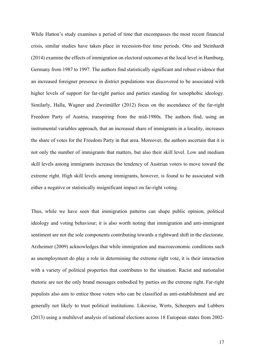While Hatton's study examines a period of time that encompasses the most recent financial crisis, similar studies have taken place in recession-free time periods. Otto and Steinhardt (2014) examine the effects of immigration on electoral outcomes at the local level in Hamburg, Germany from 1987 to 1997. The authors find statistically significant and robust evidence that an increased foreigner presence in district populations was discovered to be associated with higher levels of support for far-right parties and parties standing for xenophobic ideology. Similarly, Halla, Wagner and Zweimüller (2012) focus on the ascendance of the far-right Freedom Party of Austria, transpiring from the mid-1980s. The authors find, using an instrumental variables approach, that an increased share of immigrants in a locality, increases the share of votes for the Freedom Party in that area. Moreover, the authors ascertain that it is not only the number of immigrants that matters, but also their skill level. Low and medium skill levels among immigrants increases the tendency of Austrian voters to move toward the extreme right. High skill levels among immigrants, however, is found to be associated with either a negative or statistically insignificant impact on far-right voting.

Thus, while we have seen that immigration patterns can shape public opinion, political ideology and voting behaviour; it is also worth noting that immigration and anti-immigrant sentiment are not the sole components contributing towards a rightward shift in the electorate. Arzheimer (2009) acknowledges that while immigration and macroeconomic conditions such as unemployment do play a role in determining the extreme right vote, it is their interaction with a variety of political properties that contributes to the situation. Racist and nationalist rhetoric are not the only brand messages embodied by parties on the extreme right. Far-right populists also aim to entice those voters who can be classified as anti-establishment and are generally not likely to trust political institutions. Likewise, Werts, Scheepers and Lubbers (2013) using a multilevel analysis of national elections across 18 European states from 2002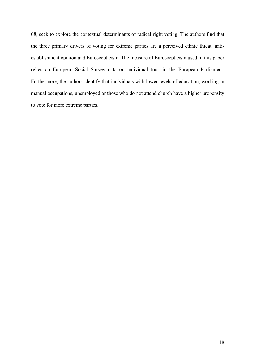08, seek to explore the contextual determinants of radical right voting. The authors find that the three primary drivers of voting for extreme parties are a perceived ethnic threat, antiestablishment opinion and Euroscepticism. The measure of Euroscepticism used in this paper relies on European Social Survey data on individual trust in the European Parliament. Furthermore, the authors identify that individuals with lower levels of education, working in manual occupations, unemployed or those who do not attend church have a higher propensity to vote for more extreme parties.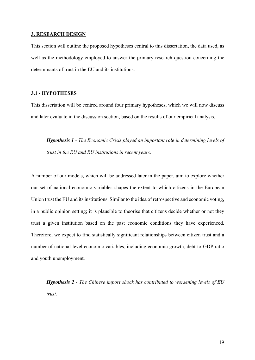#### **3. RESEARCH DESIGN**

This section will outline the proposed hypotheses central to this dissertation, the data used, as well as the methodology employed to answer the primary research question concerning the determinants of trust in the EU and its institutions.

#### **3.1 - HYPOTHESES**

This dissertation will be centred around four primary hypotheses, which we will now discuss and later evaluate in the discussion section, based on the results of our empirical analysis.

*Hypothesis 1 - The Economic Crisis played an important role in determining levels of trust in the EU and EU institutions in recent years.*

A number of our models, which will be addressed later in the paper, aim to explore whether our set of national economic variables shapes the extent to which citizens in the European Union trust the EU and its institutions. Similar to the idea of retrospective and economic voting, in a public opinion setting; it is plausible to theorise that citizens decide whether or not they trust a given institution based on the past economic conditions they have experienced. Therefore, we expect to find statistically significant relationships between citizen trust and a number of national-level economic variables, including economic growth, debt-to-GDP ratio and youth unemployment.

*Hypothesis 2 - The Chinese import shock has contributed to worsening levels of EU trust.*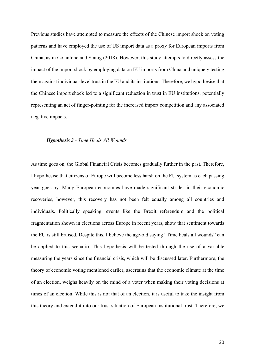Previous studies have attempted to measure the effects of the Chinese import shock on voting patterns and have employed the use of US import data as a proxy for European imports from China, as in Colantone and Stanig (2018). However, this study attempts to directly assess the impact of the import shock by employing data on EU imports from China and uniquely testing them against individual-level trust in the EU and its institutions. Therefore, we hypothesise that the Chinese import shock led to a significant reduction in trust in EU institutions, potentially representing an act of finger-pointing for the increased import competition and any associated negative impacts.

#### *Hypothesis 3 - Time Heals All Wounds.*

As time goes on, the Global Financial Crisis becomes gradually further in the past. Therefore, I hypothesise that citizens of Europe will become less harsh on the EU system as each passing year goes by. Many European economies have made significant strides in their economic recoveries, however, this recovery has not been felt equally among all countries and individuals. Politically speaking, events like the Brexit referendum and the political fragmentation shown in elections across Europe in recent years, show that sentiment towards the EU is still bruised. Despite this, I believe the age-old saying "Time heals all wounds" can be applied to this scenario. This hypothesis will be tested through the use of a variable measuring the years since the financial crisis, which will be discussed later. Furthermore, the theory of economic voting mentioned earlier, ascertains that the economic climate at the time of an election, weighs heavily on the mind of a voter when making their voting decisions at times of an election. While this is not that of an election, it is useful to take the insight from this theory and extend it into our trust situation of European institutional trust. Therefore, we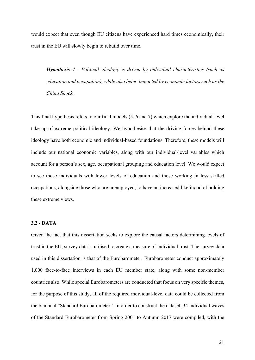would expect that even though EU citizens have experienced hard times economically, their trust in the EU will slowly begin to rebuild over time.

*Hypothesis 4 - Political ideology is driven by individual characteristics (such as education and occupation), while also being impacted by economic factors such as the China Shock.*

This final hypothesis refers to our final models (5, 6 and 7) which explore the individual-level take-up of extreme political ideology. We hypothesise that the driving forces behind these ideology have both economic and individual-based foundations. Therefore, these models will include our national economic variables, along with our individual-level variables which account for a person's sex, age, occupational grouping and education level. We would expect to see those individuals with lower levels of education and those working in less skilled occupations, alongside those who are unemployed, to have an increased likelihood of holding these extreme views.

#### **3.2 - DATA**

Given the fact that this dissertation seeks to explore the causal factors determining levels of trust in the EU, survey data is utilised to create a measure of individual trust. The survey data used in this dissertation is that of the Eurobarometer. Eurobarometer conduct approximately 1,000 face-to-face interviews in each EU member state, along with some non-member countries also. While special Eurobarometers are conducted that focus on very specific themes, for the purpose of this study, all of the required individual-level data could be collected from the biannual "Standard Eurobarometer". In order to construct the dataset, 34 individual waves of the Standard Eurobarometer from Spring 2001 to Autumn 2017 were compiled, with the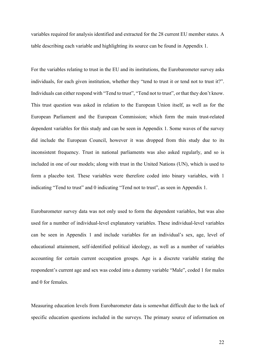variables required for analysis identified and extracted for the 28 current EU member states. A table describing each variable and highlighting its source can be found in Appendix 1.

For the variables relating to trust in the EU and its institutions, the Eurobarometer survey asks individuals, for each given institution, whether they "tend to trust it or tend not to trust it?". Individuals can either respond with "Tend to trust", "Tend not to trust", or that they don't know. This trust question was asked in relation to the European Union itself, as well as for the European Parliament and the European Commission; which form the main trust-related dependent variables for this study and can be seen in Appendix 1. Some waves of the survey did include the European Council, however it was dropped from this study due to its inconsistent frequency. Trust in national parliaments was also asked regularly, and so is included in one of our models; along with trust in the United Nations (UN), which is used to form a placebo test. These variables were therefore coded into binary variables, with 1 indicating "Tend to trust" and 0 indicating "Tend not to trust", as seen in Appendix 1.

Eurobarometer survey data was not only used to form the dependent variables, but was also used for a number of individual-level explanatory variables. These individual-level variables can be seen in Appendix 1 and include variables for an individual's sex, age, level of educational attainment, self-identified political ideology, as well as a number of variables accounting for certain current occupation groups. Age is a discrete variable stating the respondent's current age and sex was coded into a dummy variable "Male", coded 1 for males and 0 for females.

Measuring education levels from Eurobarometer data is somewhat difficult due to the lack of specific education questions included in the surveys. The primary source of information on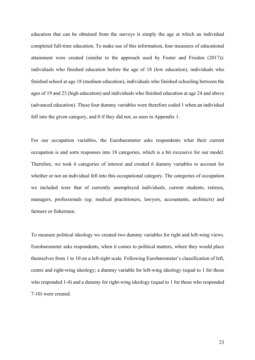education that can be obtained from the surveys is simply the age at which an individual completed full-time education. To make use of this information, four measures of educational attainment were created (similar to the approach used by Foster and Frieden (2017)): individuals who finished education before the age of 18 (low education), individuals who finished school at age 18 (medium education), individuals who finished schooling between the ages of 19 and 23 (high education) and individuals who finished education at age 24 and above (advanced education). These four dummy variables were therefore coded 1 when an individual fell into the given category, and 0 if they did not, as seen in Appendix 1.

For our occupation variables, the Eurobarometer asks respondents what their current occupation is and sorts responses into 18 categories, which is a bit excessive for our model. Therefore, we took 6 categories of interest and created 6 dummy variables to account for whether or not an individual fell into this occupational category. The categories of occupation we included were that of currently unemployed individuals, current students, retirees, managers, professionals (eg: medical practitioners, lawyers, accountants, architects) and farmers or fishermen.

To measure political ideology we created two dummy variables for right and left-wing views. Eurobarometer asks respondents, when it comes to political matters, where they would place themselves from 1 to 10 on a left-right scale. Following Eurobarometer's classification of left, centre and right-wing ideology; a dummy variable for left-wing ideology (equal to 1 for those who responded 1-4) and a dummy for right-wing ideology (equal to 1 for those who responded 7-10) were created.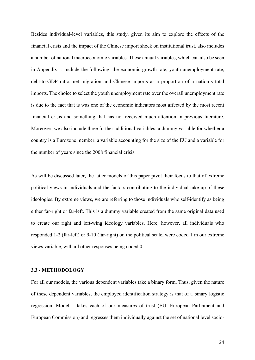Besides individual-level variables, this study, given its aim to explore the effects of the financial crisis and the impact of the Chinese import shock on institutional trust, also includes a number of national macroeconomic variables. These annual variables, which can also be seen in Appendix 1, include the following: the economic growth rate, youth unemployment rate, debt-to-GDP ratio, net migration and Chinese imports as a proportion of a nation's total imports. The choice to select the youth unemployment rate over the overall unemployment rate is due to the fact that is was one of the economic indicators most affected by the most recent financial crisis and something that has not received much attention in previous literature. Moreover, we also include three further additional variables; a dummy variable for whether a country is a Eurozone member, a variable accounting for the size of the EU and a variable for the number of years since the 2008 financial crisis.

As will be discussed later, the latter models of this paper pivot their focus to that of extreme political views in individuals and the factors contributing to the individual take-up of these ideologies. By extreme views, we are referring to those individuals who self-identify as being either far-right or far-left. This is a dummy variable created from the same original data used to create our right and left-wing ideology variables. Here, however, all individuals who responded 1-2 (far-left) or 9-10 (far-right) on the political scale, were coded 1 in our extreme views variable, with all other responses being coded 0.

#### **3.3 - METHODOLOGY**

For all our models, the various dependent variables take a binary form. Thus, given the nature of these dependent variables, the employed identification strategy is that of a binary logistic regression. Model 1 takes each of our measures of trust (EU, European Parliament and European Commission) and regresses them individually against the set of national level socio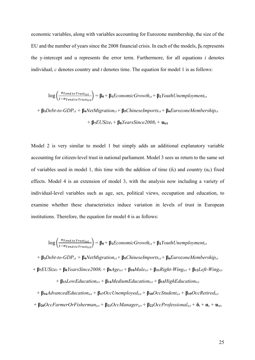economic variables, along with variables accounting for Eurozone membership, the size of the EU and the number of years since the 2008 financial crisis. In each of the models,  $\beta_0$  represents the y-intercept and u represents the error term. Furthermore, for all equations *i* denotes individual, *c* denotes country and *t* denotes time. The equation for model 1 is as follows:

$$
\log\left(\frac{\pi_{Tend\ to\ Trustict}}{1-\pi_{Tend\ to\ Trustict}}\right) = \beta_0 + \beta_1EconomicGrowth + \beta_2Youth Unemployed_{ct}
$$

$$
+\beta_3Debt-to-GDP_{ct} + \beta_4NetMigration_{ct} + \beta_5ChineseImports_{ct} + \beta_6EurozoneMembership_{ct}
$$

$$
+\beta_7 EUSize_t + \beta_8 YearsSince 2008_t + u_{\text{ict}}
$$

Model 2 is very similar to model 1 but simply adds an additional explanatory variable accounting for citizen-level trust in national parliament. Model 3 sees us return to the same set of variables used in model 1, this time with the addition of time ( $\delta_t$ ) and country ( $\alpha_c$ ) fixed effects. Model 4 is an extension of model 3, with the analysis now including a variety of individual-level variables such as age, sex, political views, occupation and education, to examine whether these characteristics induce variation in levels of trust in European institutions. Therefore, the equation for model 4 is as follows:

$$
\log\left(\frac{\pi_{\text{Tend to \text{Trust}_{ict}}}}{1-\pi_{\text{Tend to \text{Trust}_{ict}}}\right) = \beta_0 + \beta_1 Economic Growth_{ct} + \beta_2 \text{Youth Unemployed}_{ct}
$$

+ **β3***Debt-to-GDPct +* **β4***NetMigrationct* + **β5***ChineseImportsct* + **β6***EurozoneMembershipct*  $+ \beta_7 \text{EUS}ize_t + \beta_8 \text{Y} earsSince \text{2008}_t + \beta_9 \text{Age}_{ict} + \beta_{10} \text{Male}_{ict} + \beta_{11} \text{Right-Wing}_{ict} + \beta_{12} \text{Left-Wing}_{ict}$ 

+ **β13***LowEducationict* + **β14***MediumEducationict* + **β15***HighEducationict*

+ **β16***AdvancedEducationict* + **β17***OccUnemployedict* + **β18***OccStudentict* + **β19***OccRetiredict*  $+ \beta_{20}$ *OccFarmerOrFisherman<sub>ict</sub>* +  $\beta_{21}$ *OccManager<sub>ict</sub>* +  $\beta_{22}$ *OccProfessional<sub>ict</sub>* +  $\delta_t$  +  $\alpha_c$  +  $\alpha_{\text{tot}}$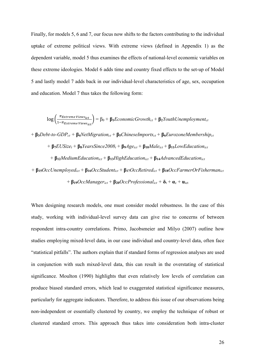Finally, for models 5, 6 and 7, our focus now shifts to the factors contributing to the individual uptake of extreme political views. With extreme views (defined in Appendix 1) as the dependent variable, model 5 thus examines the effects of national-level economic variables on these extreme ideologies. Model 6 adds time and country fixed effects to the set-up of Model 5 and lastly model 7 adds back in our individual-level characteristics of age, sex, occupation and education. Model 7 thus takes the following form:

$$
log\left(\frac{\pi_{Extreme\,Views_{ict}}}{1-\pi_{Extreme\,Views_{ict}}}\right) = \beta_0 + \beta_1EconomicGrowth_{ct} + \beta_2YouthUnemplyment_{ct}
$$

+ **β3***Debt-to-GDPct +* **β4***NetMigrationct* + **β5***ChineseImportsct* + **β6***EurozoneMembershipct*

$$
+\beta_7 EUSize_t + \beta_8 YearsSince 2008_t + \beta_9 Age_{ict} + \beta_{10} Male_{ict} + \beta_{11} Low Education_{ict}
$$

+ **β12***MediumEducationict* + **β13***HighEducationict* + **β14***AdvancedEducationict*

+ **β15***OccUnemployedict* + **β16***OccStudentict* + **β17***OccRetiredict* + **β18***OccFarmerOrFishermanict*  $+ \beta_{19}$ *OccManager<sub>ict</sub>* +  $\beta_{20}$ *OccProfessional<sub>ict</sub>* +  $\delta_t$  +  $\alpha_c$  +  $\mu$ <sub>ict</sub>

When designing research models, one must consider model robustness. In the case of this study, working with individual-level survey data can give rise to concerns of between respondent intra-country correlations. Primo, Jacobsmeier and Milyo (2007) outline how studies employing mixed-level data, in our case individual and country-level data, often face "statistical pitfalls". The authors explain that if standard forms of regression analyses are used in conjunction with such mixed-level data, this can result in the overstating of statistical significance. Moulton (1990) highlights that even relatively low levels of correlation can produce biased standard errors, which lead to exaggerated statistical significance measures, particularly for aggregate indicators. Therefore, to address this issue of our observations being non-independent or essentially clustered by country, we employ the technique of robust or clustered standard errors. This approach thus takes into consideration both intra-cluster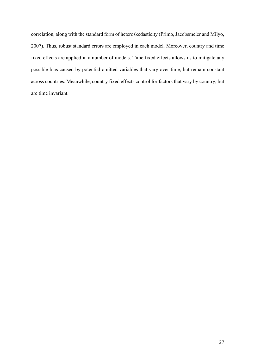correlation, along with the standard form of heteroskedasticity (Primo, Jacobsmeier and Milyo, 2007). Thus, robust standard errors are employed in each model. Moreover, country and time fixed effects are applied in a number of models. Time fixed effects allows us to mitigate any possible bias caused by potential omitted variables that vary over time, but remain constant across countries. Meanwhile, country fixed effects control for factors that vary by country, but are time invariant.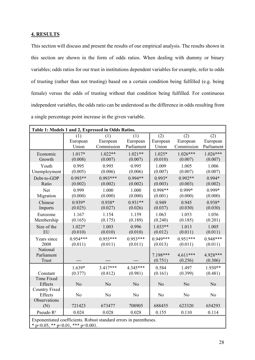#### **4. RESULTS**

This section will discuss and present the results of our empirical analysis. The results shown in this section are shown in the form of odds ratios. When dealing with dummy or binary variables; odds ratios for our trust in institutions dependent variables for example, refer to odds of trusting (rather than not trusting) based on a certain condition being fulfilled (e.g. being female) versus the odds of trusting without that condition being fulfilled. For continuous independent variables, the odds ratio can be understood as the difference in odds resulting from a single percentage point increase in the given variable.

| Table 1: Models 1 and 2, Expressed in Odds Ratios.                                                               |            |                |            |                     |                       |                     |
|------------------------------------------------------------------------------------------------------------------|------------|----------------|------------|---------------------|-----------------------|---------------------|
|                                                                                                                  | (1)        | (1)            | (1)        | (2)                 | (2)                   | (2)                 |
|                                                                                                                  | European   | European       | European   | European            | European              | European            |
|                                                                                                                  | Union      | Commission     | Parliament | Union               | Commission            | Parliament          |
| Economic                                                                                                         | $1.017*$   | $1.022**$      | $1.021**$  | $1.025*$            | $1.026***$            | $1.026***$          |
| Growth                                                                                                           | (0.008)    | (0.007)        | (0.007)    | (0.010)             | (0.007)               | (0.007)             |
| Youth                                                                                                            | 0.995      | 0.995          | 0.995      | 1.009               | 1.005                 | 1.006               |
| Unemployment                                                                                                     | (0.005)    | (0.006)        | (0.006)    | (0.007)             | (0.007)               | (0.007)             |
| Debt-to-GDP                                                                                                      | $0.993**$  | $0.993***$     | $0.994**$  | $0.993*$            | $0.992**$             | $0.994*$            |
| Ratio                                                                                                            | (0.002)    | (0.002)        | (0.002)    | (0.003)             | (0.003)               | (0.002)             |
| Net                                                                                                              | 0.999      | 1.000          | 1.000      | $0.998**$           | $0.999*$              | $0.999*$            |
| Migration                                                                                                        | (0.000)    | (0.000)        | (0.000)    | (0.001)             | (0.000)               | (0.000)             |
| Chinese                                                                                                          | $0.939*$   | $0.938*$       | $0.931**$  | 0.949               | 0.945                 | $0.938*$            |
| Imports                                                                                                          | (0.025)    | (0.027)        | (0.026)    | (0.037)             | (0.030)               | (0.030)             |
| Eurozone                                                                                                         | 1.167      | 1.154          | 1.159      | 1.063               | 1.053                 | 1.056               |
| Membership                                                                                                       | (0.165)    | (0.175)        | (0.189)    | (0.240)             | (0.185)               | (0.201)             |
| Size of the                                                                                                      | $1.022*$   | 1.003          | 0.996      | $1.033**$           | 1.013                 | 1.005               |
| EU                                                                                                               | (0.010)    | (0.010)        | (0.010)    | (0.012)             | (0.011)               | (0.011)             |
| Years since                                                                                                      | $0.954***$ | $0.955***$     | $0.953***$ | $0.949***$          | $0.951***$            | $0.948***$          |
| 2008                                                                                                             | (0.011)    | (0.011)        | (0.011)    | (0.013)             | (0.011)               | (0.011)             |
| National<br>Parliament<br>Trust                                                                                  |            |                |            | 7.198***<br>(0.751) | $4.611***$<br>(0.256) | 4.928***<br>(0.306) |
| Constant                                                                                                         | $1.639*$   | $3.417***$     | 4.345***   | 0.584               | 1.497                 | $1.930**$           |
|                                                                                                                  | (0.377)    | (0.812)        | (0.981)    | (0.161)             | (0.399)               | (0.481)             |
| Time Fixed<br>Effects                                                                                            | No         | No             | No         | No                  | No                    | No                  |
| <b>Country Fixed</b><br>Effects                                                                                  | No         | N <sub>o</sub> | No         | No                  | No                    | No                  |
| Observations<br>(N)                                                                                              | 721423     | 673477         | 708905     | 688455              | 623320                | 654293              |
| Pseudo R <sup>2</sup>                                                                                            | 0.024      | 0.028          | 0.028      | 0.155               | 0.110                 | 0.114               |
| Exponentiated coefficients. Robust standard errors in parentheses.<br>* $p<0.05$ , ** $p<0.01$ , *** $p<0.001$ . |            |                |            |                     |                       |                     |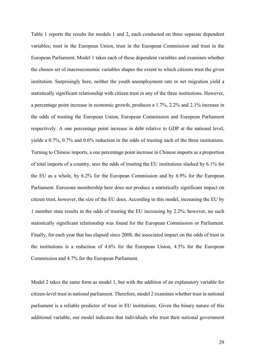Table 1 reports the results for models 1 and 2, each conducted on three separate dependent variables; trust in the European Union, trust in the European Commission and trust in the European Parliament. Model 1 takes each of these dependent variables and examines whether the chosen set of macroeconomic variables shapes the extent to which citizens trust the given institution. Surprisingly here, neither the youth unemployment rate or net migration yield a statistically significant relationship with citizen trust in any of the three institutions. However, a percentage point increase in economic growth, produces a 1.7%, 2.2% and 2.1% increase in the odds of trusting the European Union, European Commission and European Parliament respectively. A one percentage point increase in debt relative to GDP at the national level, yields a 0.7%, 0.7% and 0.6% reduction in the odds of trusting each of the three institutions. Turning to Chinese imports, a one percentage point increase in Chinese imports as a proportion of total imports of a country, sees the odds of trusting the EU institutions slashed by 6.1% for the EU as a whole, by 6.2% for the European Commission and by 6.9% for the European Parliament. Eurozone membership here does not produce a statistically significant impact on citizen trust, however, the size of the EU does. According to this model, increasing the EU by 1 member state results in the odds of trusting the EU increasing by 2.2%; however, no such statistically significant relationship was found for the European Commission or Parliament. Finally, for each year that has elapsed since 2008, the associated impact on the odds of trust in the institutions is a reduction of 4.6% for the European Union, 4.5% for the European Commission and 4.7% for the European Parliament.

Model 2 takes the same form as model 1, but with the addition of an explanatory variable for citizen-level trust in national parliament. Therefore, model 2 examines whether trust in national parliament is a reliable predictor of trust in EU institutions. Given the binary nature of this additional variable, our model indicates that individuals who trust their national government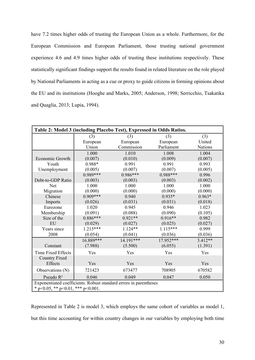have 7.2 times higher odds of trusting the European Union as a whole. Furthermore, for the European Commission and European Parliament, those trusting national government experience 4.6 and 4.9 times higher odds of trusting these institutions respectively. These statistically significant findings support the results found in related literature on the role played by National Parliaments in acting as a cue or proxy to guide citizens in forming opinions about the EU and its institutions (Hooghe and Marks, 2005; Anderson, 1998; Serricchio, Tsakatika and Quaglia, 2013; Lupia, 1994).

| Table 2: Model 3 (including Placebo Test), Expressed in Odds Ratios. |                          |             |            |                |  |  |
|----------------------------------------------------------------------|--------------------------|-------------|------------|----------------|--|--|
|                                                                      | (3)<br>(3)<br>(3)<br>(3) |             |            |                |  |  |
|                                                                      | European                 | European    | European   | United         |  |  |
|                                                                      | Union                    | Commission  | Parliament | <b>Nations</b> |  |  |
|                                                                      | 1.000                    | 1.010       | 1.008      | 1.004          |  |  |
| Economic Growth                                                      | (0.007)                  | (0.010)     | (0.009)    | (0.007)        |  |  |
| Youth                                                                | 0.988*                   | 0.991       | 0.991      | 0.993          |  |  |
| Unemployment                                                         | (0.005)                  | (0.007)     | (0.007)    | (0.005)        |  |  |
|                                                                      | $0.989***$               | 0.986***    | $0.988***$ | 0.996          |  |  |
| Debt-to-GDP Ratio                                                    | (0.003)                  | (0.003)     | (0.003)    | (0.002)        |  |  |
| Net                                                                  | 1.000                    | 1.000       | 1.000      | 1.000          |  |  |
| Migration                                                            | (0.000)                  | (0.000)     | (0.000)    | (0.000)        |  |  |
| Chinese                                                              | $0.909***$               | 0.940       | $0.935*$   | $0.963*$       |  |  |
| Imports                                                              | (0.026)                  | (0.031)     | (0.031)    | (0.018)        |  |  |
| Eurozone                                                             | 1.020                    | 0.945       | 0.946      | 1.023          |  |  |
| Membership                                                           | (0.091)                  | (0.088)     | (0.090)    | (0.105)        |  |  |
| Size of the                                                          | $0.886***$               | $0.921**$   | $0.916**$  | 0.982          |  |  |
| EU                                                                   | (0.029)                  | (0.027)     | (0.025)    | (0.027)        |  |  |
| Years since                                                          | $1.215***$               | $1.124**$   | $1.115***$ | 0.999          |  |  |
| 2008                                                                 | (0.054)                  | (0.041)     | (0.036)    | (0.036)        |  |  |
|                                                                      | 16.889***                | $14.191***$ | 17.952***  | $3.412**$      |  |  |
| Constant                                                             | (7.988)                  | (5.500)     | (6.055)    | (1.391)        |  |  |
| <b>Time Fixed Effects</b>                                            | Yes                      | Yes         | Yes        | Yes            |  |  |
| <b>Country Fixed</b>                                                 |                          |             |            |                |  |  |
| Effects                                                              | Yes                      | Yes         | Yes        | Yes            |  |  |
| Observations (N)                                                     | 721423                   | 673477      | 708905     | 670582         |  |  |
| Pseudo R <sup>2</sup>                                                | 0.046                    | 0.049       | 0.047      | 0.050          |  |  |
| Exponentiated coefficients. Robust standard errors in parentheses    |                          |             |            |                |  |  |
| * $p<0.05$ , ** $p<0.01$ , *** $p<0.001$ .                           |                          |             |            |                |  |  |

Represented in Table 2 is model 3, which employs the same cohort of variables as model 1, but this time accounting for within country changes in our variables by employing both time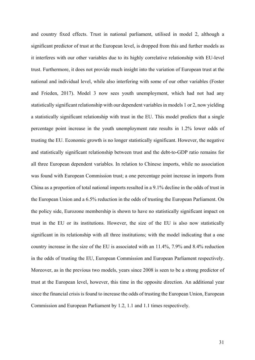and country fixed effects. Trust in national parliament, utilised in model 2, although a significant predictor of trust at the European level, is dropped from this and further models as it interferes with our other variables due to its highly correlative relationship with EU-level trust. Furthermore, it does not provide much insight into the variation of European trust at the national and individual level, while also interfering with some of our other variables (Foster and Frieden, 2017). Model 3 now sees youth unemployment, which had not had any statistically significant relationship with our dependent variables in models 1 or 2, now yielding a statistically significant relationship with trust in the EU. This model predicts that a single percentage point increase in the youth unemployment rate results in 1.2% lower odds of trusting the EU. Economic growth is no longer statistically significant. However, the negative and statistically significant relationship between trust and the debt-to-GDP ratio remains for all three European dependent variables. In relation to Chinese imports, while no association was found with European Commission trust; a one percentage point increase in imports from China as a proportion of total national imports resulted in a 9.1% decline in the odds of trust in the European Union and a 6.5% reduction in the odds of trusting the European Parliament. On the policy side, Eurozone membership is shown to have no statistically significant impact on trust in the EU or its institutions. However, the size of the EU is also now statistically significant in its relationship with all three institutions; with the model indicating that a one country increase in the size of the EU is associated with an 11.4%, 7.9% and 8.4% reduction in the odds of trusting the EU, European Commission and European Parliament respectively. Moreover, as in the previous two models, years since 2008 is seen to be a strong predictor of trust at the European level, however, this time in the opposite direction. An additional year since the financial crisis is found to increase the odds of trusting the European Union, European Commission and European Parliament by 1.2, 1.1 and 1.1 times respectively.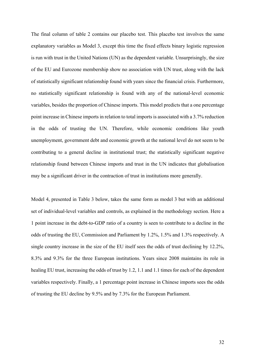The final column of table 2 contains our placebo test. This placebo test involves the same explanatory variables as Model 3, except this time the fixed effects binary logistic regression is run with trust in the United Nations (UN) as the dependent variable. Unsurprisingly, the size of the EU and Eurozone membership show no association with UN trust, along with the lack of statistically significant relationship found with years since the financial crisis. Furthermore, no statistically significant relationship is found with any of the national-level economic variables, besides the proportion of Chinese imports. This model predicts that a one percentage point increase in Chinese imports in relation to total imports is associated with a 3.7% reduction in the odds of trusting the UN. Therefore, while economic conditions like youth unemployment, government debt and economic growth at the national level do not seem to be contributing to a general decline in institutional trust; the statistically significant negative relationship found between Chinese imports and trust in the UN indicates that globalisation may be a significant driver in the contraction of trust in institutions more generally.

Model 4, presented in Table 3 below, takes the same form as model 3 but with an additional set of individual-level variables and controls, as explained in the methodology section. Here a 1 point increase in the debt-to-GDP ratio of a country is seen to contribute to a decline in the odds of trusting the EU, Commission and Parliament by 1.2%, 1.5% and 1.3% respectively. A single country increase in the size of the EU itself sees the odds of trust declining by 12.2%, 8.3% and 9.3% for the three European institutions. Years since 2008 maintains its role in healing EU trust, increasing the odds of trust by 1.2, 1.1 and 1.1 times for each of the dependent variables respectively. Finally, a 1 percentage point increase in Chinese imports sees the odds of trusting the EU decline by 9.5% and by 7.3% for the European Parliament.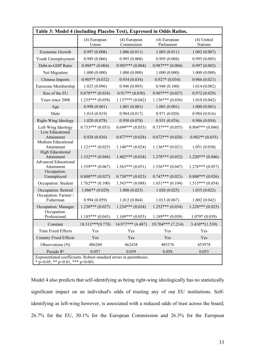| Table 3: Model 4 (including Placebo Test), Expressed in Odds Ratios.                                             |                       |                            |                            |                       |  |
|------------------------------------------------------------------------------------------------------------------|-----------------------|----------------------------|----------------------------|-----------------------|--|
|                                                                                                                  | (4) European<br>Union | (4) European<br>Commission | (4) European<br>Parliament | (4) United<br>Nations |  |
| Economic Growth                                                                                                  | 0.997(0.008)          | 1.006(0.011)               | 1.003(0.011)               | 1.002(0.007)          |  |
| Youth Unemployment                                                                                               | 0.989(0.006)          | 0.995(0.008)               | 0.995(0.008)               | 0.995(0.005)          |  |
| Debt-to-GDP Ratio                                                                                                | $0.988**$ (0.004)     | $0.985***(0.004)$          | $0.987***(0.004)$          | 0.997(0.002)          |  |
| Net Migration                                                                                                    | 1.000(0.000)          | 1.000(0.000)               | 1.000(0.000)               | 1.000(0.000)          |  |
| Chinese Imports                                                                                                  | $0.905**$ (0.032)     | 0.934(0.034)               | $0.927*(0.034)$            | 0.966(0.021)          |  |
| Eurozone Membership                                                                                              | 1.025(0.096)          | 0.946(0.095)               | 0.948(0.100)               | 1.014(0.082)          |  |
| Size of the EU                                                                                                   | $0.878***(0.034)$     | $0.917**$ (0.030)          | $0.907***$ (0.027)         | 0.972(0.029)          |  |
| Years since 2008                                                                                                 | $1.235***(0.058)$     | $1.137***(0.042)$          | $1.136***(0.036)$          | 1.010(0.042)          |  |
| Age                                                                                                              | 0.998(0.001)          | 1.001(0.001)               | 1.001(0.001)               | 1.000(0.001)          |  |
| Male                                                                                                             | 1.014(0.019)          | 0.984(0.017)               | 0.971(0.020)               | 0.984(0.016)          |  |
| Right-Wing Ideology                                                                                              | 1.020(0.078)          | 0.950(0.078)               | 0.931(0.076)               | 0.986(0.054)          |  |
| Left-Wing Ideology                                                                                               | $0.733***(0.053)$     | $0.699***(0.053)$          | $0.737***(0.055)$          | $0.804***(0.040)$     |  |
| Low Educational<br>Attainment<br>Medium Educational                                                              | 0.928(0.036)          | $0.877***(0.028)$          | $0.872***(0.028)$          | $0.902**$ (0.035)     |  |
| Attainment                                                                                                       | $1.121***(0.025)$     | $1.148***(0.024)$          | $1.136***(0.021)$          | 1.051(0.030)          |  |
| <b>High Educational</b><br>Attainment<br><b>Advanced Educational</b>                                             | $1.332***(0.044)$     | $1.402***(0.034)$          | $1.378***(0.032)$          | $1.220***(0.046)$     |  |
| Attainment                                                                                                       | $1.539***(0.067)$     | $1.563***(0.051)$          | $1.536***(0.047)$          | $1.276***(0.057)$     |  |
| Occupation:<br>Unemployed                                                                                        | $0.800***(0.027)$     | $0.738***(0.023)$          | $0.747***(0.023)$          | $0.808***(0.026)$     |  |
| Occupation: Student                                                                                              | $1.762***(0.100)$     | $1.543***(0.088)$          | $1.651***(0.104)$          | $1.515***(0.054)$     |  |
| Occupation: Retired                                                                                              | $1.086**$ (0.029)     | 1.008(0.025)               | 1.028(0.025)               | 1.035(0.022)          |  |
| Occupation: Farmer /<br>Fisherman                                                                                | 0.994(0.059)          | 1.012(0.064)               | 1.013(0.067)               | 1.002(0.042)          |  |
| Occupation: Manager                                                                                              | $1.230***(0.027)$     | $1.234***(0.024)$          | $1.252***(0.034)$          | $1.228***(0.025)$     |  |
| Occupation:<br>Professional                                                                                      | $1.185***(0.043)$     | $1.169***(0.055)$          | $1.189***(0.058)$          | $1.079*(0.039)$       |  |
| Constant                                                                                                         | $18.313***(9.778)$    | $14.977***$ (6.487)        | $19.704***$ (7.214)        | $3.410**$ (1.539)     |  |
| Time Fixed Effects                                                                                               | Yes                   | Yes                        | Yes                        | Yes                   |  |
| <b>Country Fixed Effects</b>                                                                                     | Yes                   | Yes                        | Yes                        | Yes                   |  |
| Observations (N)                                                                                                 | 486260                | 462438                     | 485376                     | 453978                |  |
| Pseudo R <sup>2</sup>                                                                                            | 0.057                 | 0.059                      | 0.058                      | 0.053                 |  |
| Exponentiated coefficients. Robust standard errors in parentheses.<br>* $p<0.05$ , ** $p<0.01$ , *** $p<0.001$ . |                       |                            |                            |                       |  |

Model 4 also predicts that self-identifying as being right-wing ideologically has no statistically significant impact on an individual's odds of trusting any of our EU institutions. Selfidentifying as left-wing however, is associated with a reduced odds of trust across the board; 26.7% for the EU, 30.1% for the European Commission and 26.3% for the European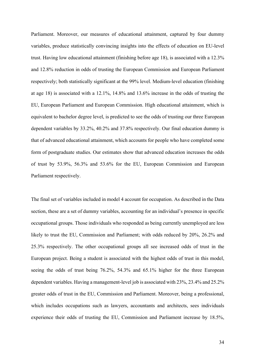Parliament. Moreover, our measures of educational attainment, captured by four dummy variables, produce statistically convincing insights into the effects of education on EU-level trust. Having low educational attainment (finishing before age 18), is associated with a 12.3% and 12.8% reduction in odds of trusting the European Commission and European Parliament respectively; both statistically significant at the 99% level. Medium-level education (finishing at age 18) is associated with a 12.1%, 14.8% and 13.6% increase in the odds of trusting the EU, European Parliament and European Commission. High educational attainment, which is equivalent to bachelor degree level, is predicted to see the odds of trusting our three European dependent variables by 33.2%, 40.2% and 37.8% respectively. Our final education dummy is that of advanced educational attainment, which accounts for people who have completed some form of postgraduate studies. Our estimates show that advanced education increases the odds of trust by 53.9%, 56.3% and 53.6% for the EU, European Commission and European Parliament respectively.

The final set of variables included in model 4 account for occupation. As described in the Data section, these are a set of dummy variables, accounting for an individual's presence in specific occupational groups. Those individuals who responded as being currently unemployed are less likely to trust the EU, Commission and Parliament; with odds reduced by 20%, 26.2% and 25.3% respectively. The other occupational groups all see increased odds of trust in the European project. Being a student is associated with the highest odds of trust in this model, seeing the odds of trust being 76.2%, 54.3% and 65.1% higher for the three European dependent variables. Having a management-level job is associated with 23%, 23.4% and 25.2% greater odds of trust in the EU, Commission and Parliament. Moreover, being a professional, which includes occupations such as lawyers, accountants and architects, sees individuals experience their odds of trusting the EU, Commission and Parliament increase by 18.5%,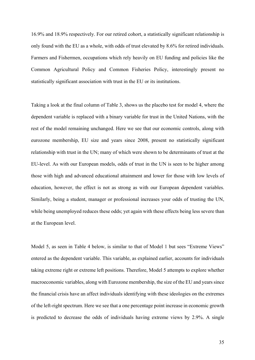16.9% and 18.9% respectively. For our retired cohort, a statistically significant relationship is only found with the EU as a whole, with odds of trust elevated by 8.6% for retired individuals. Farmers and Fishermen, occupations which rely heavily on EU funding and policies like the Common Agricultural Policy and Common Fisheries Policy, interestingly present no statistically significant association with trust in the EU or its institutions.

Taking a look at the final column of Table 3, shows us the placebo test for model 4, where the dependent variable is replaced with a binary variable for trust in the United Nations, with the rest of the model remaining unchanged. Here we see that our economic controls, along with eurozone membership, EU size and years since 2008, present no statistically significant relationship with trust in the UN; many of which were shown to be determinants of trust at the EU-level. As with our European models, odds of trust in the UN is seen to be higher among those with high and advanced educational attainment and lower for those with low levels of education, however, the effect is not as strong as with our European dependent variables. Similarly, being a student, manager or professional increases your odds of trusting the UN, while being unemployed reduces these odds; yet again with these effects being less severe than at the European level.

Model 5, as seen in Table 4 below, is similar to that of Model 1 but sees "Extreme Views" entered as the dependent variable. This variable, as explained earlier, accounts for individuals taking extreme right or extreme left positions. Therefore, Model 5 attempts to explore whether macroeconomic variables, along with Eurozone membership, the size of the EU and years since the financial crisis have an affect individuals identifying with these ideologies on the extremes of the left-right spectrum. Here we see that a one percentage point increase in economic growth is predicted to decrease the odds of individuals having extreme views by 2.9%. A single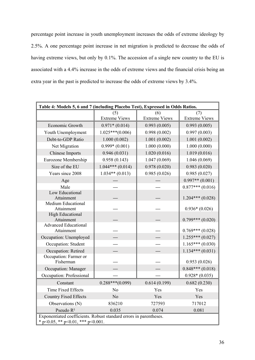percentage point increase in youth unemployment increases the odds of extreme ideology by 2.5%. A one percentage point increase in net migration is predicted to decrease the odds of having extreme views, but only by 0.1%. The accession of a single new country to the EU is associated with a 4.4% increase in the odds of extreme views and the financial crisis being an extra year in the past is predicted to increase the odds of extreme views by 3.4%.

| Table 4: Models 5, 6 and 7 (including Placebo Test), Expressed in Odds Ratios.                                 |                             |                             |                             |  |  |
|----------------------------------------------------------------------------------------------------------------|-----------------------------|-----------------------------|-----------------------------|--|--|
|                                                                                                                | (5)<br><b>Extreme Views</b> | (6)<br><b>Extreme Views</b> | (7)<br><b>Extreme Views</b> |  |  |
| Economic Growth                                                                                                | $0.971*(0.014)$             | 0.993(0.005)                | 0.993(0.005)                |  |  |
| Youth Unemployment                                                                                             | $1.025***(0.006)$           | 0.998(0.002)                | 0.997(0.003)                |  |  |
| Debt-to-GDP Ratio                                                                                              | 1.000(0.002)                | 1.001(0.002)                | 1.001(0.002)                |  |  |
| Net Migration                                                                                                  | $0.999*(0.001)$             | 1.000(0.000)                | 1.000(0.000)                |  |  |
| Chinese Imports                                                                                                | 0.946(0.031)                | 1.020(0.016)                | 1.019(0.016)                |  |  |
| Eurozone Membership                                                                                            | 0.958(0.143)                | 1.047(0.069)                | 1.046(0.069)                |  |  |
| Size of the EU                                                                                                 | $1.044***(0.014)$           | 0.978(0.020)                | 0.983(0.020)                |  |  |
| Years since 2008                                                                                               | $1.034**$ (0.013)           | 0.985(0.026)                | 0.985(0.027)                |  |  |
| Age                                                                                                            |                             |                             | $0.997**$ (0.001)           |  |  |
| Male                                                                                                           |                             |                             | $0.877***(0.016)$           |  |  |
| Low Educational<br>Attainment                                                                                  |                             |                             | $1.204***(0.028)$           |  |  |
| <b>Medium Educational</b><br>Attainment                                                                        |                             |                             | $0.936*(0.026)$             |  |  |
| <b>High Educational</b><br>Attainment                                                                          |                             |                             | $0.799***(0.020)$           |  |  |
| <b>Advanced Educational</b><br>Attainment                                                                      |                             |                             | $0.769***(0.028)$           |  |  |
| Occupation: Unemployed                                                                                         |                             |                             | $1.255***(0.027)$           |  |  |
| Occupation: Student                                                                                            |                             |                             | $1.165***(0.030)$           |  |  |
| Occupation: Retired                                                                                            |                             |                             | $1.134***(0.031)$           |  |  |
| Occupation: Farmer or<br>Fisherman                                                                             |                             |                             | 0.953(0.026)                |  |  |
| Occupation: Manager                                                                                            |                             |                             | $0.848***(0.018)$           |  |  |
| Occupation: Professional                                                                                       |                             |                             | $0.928*(0.035)$             |  |  |
| Constant                                                                                                       | $0.288***(0.099)$           | 0.614(0.199)                | 0.682(0.230)                |  |  |
| <b>Time Fixed Effects</b>                                                                                      | N <sub>o</sub>              | Yes                         | Yes                         |  |  |
| <b>Country Fixed Effects</b>                                                                                   | No                          | Yes                         | Yes                         |  |  |
| Observations (N)                                                                                               | 836210                      | 727593                      | 717012                      |  |  |
| Pseudo R <sup>2</sup>                                                                                          | 0.035                       | 0.074                       | 0.081                       |  |  |
| Exponentiated coefficients. Robust standard errors in parentheses.<br>$p<0.05$ , ** $p<0.01$ , *** $p<0.001$ . |                             |                             |                             |  |  |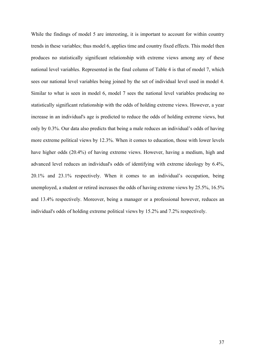While the findings of model 5 are interesting, it is important to account for within country trends in these variables; thus model 6, applies time and country fixed effects. This model then produces no statistically significant relationship with extreme views among any of these national level variables. Represented in the final column of Table 4 is that of model 7, which sees our national level variables being joined by the set of individual level used in model 4. Similar to what is seen in model 6, model 7 sees the national level variables producing no statistically significant relationship with the odds of holding extreme views. However, a year increase in an individual's age is predicted to reduce the odds of holding extreme views, but only by 0.3%. Our data also predicts that being a male reduces an individual's odds of having more extreme political views by 12.3%. When it comes to education, those with lower levels have higher odds (20.4%) of having extreme views. However, having a medium, high and advanced level reduces an individual's odds of identifying with extreme ideology by 6.4%, 20.1% and 23.1% respectively. When it comes to an individual's occupation, being unemployed, a student or retired increases the odds of having extreme views by 25.5%, 16.5% and 13.4% respectively. Moreover, being a manager or a professional however, reduces an individual's odds of holding extreme political views by 15.2% and 7.2% respectively.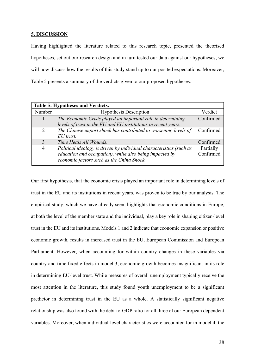#### **5. DISCUSSION**

Having highlighted the literature related to this research topic, presented the theorised hypotheses, set out our research design and in turn tested our data against our hypotheses; we will now discuss how the results of this study stand up to our posited expectations. Moreover, Table 5 presents a summary of the verdicts given to our proposed hypotheses.

| Table 5: Hypotheses and Verdicts. |                                                                                                                                                                             |                        |  |  |
|-----------------------------------|-----------------------------------------------------------------------------------------------------------------------------------------------------------------------------|------------------------|--|--|
| Number                            | <b>Hypothesis Description</b>                                                                                                                                               | Verdict                |  |  |
|                                   | The Economic Crisis played an important role in determining<br>levels of trust in the EU and EU institutions in recent years.                                               | Confirmed              |  |  |
| $\mathcal{D}_{\mathcal{L}}$       | The Chinese import shock has contributed to worsening levels of<br>$EU$ trust.                                                                                              | Confirmed              |  |  |
| 3                                 | Time Heals All Wounds.                                                                                                                                                      | Confirmed              |  |  |
| 4                                 | Political ideology is driven by individual characteristics (such as<br>education and occupation), while also being impacted by<br>economic factors such as the China Shock. | Partially<br>Confirmed |  |  |

Our first hypothesis, that the economic crisis played an important role in determining levels of trust in the EU and its institutions in recent years, was proven to be true by our analysis. The empirical study, which we have already seen, highlights that economic conditions in Europe, at both the level of the member state and the individual, play a key role in shaping citizen-level trust in the EU and its institutions. Models 1 and 2 indicate that economic expansion or positive economic growth, results in increased trust in the EU, European Commission and European Parliament. However, when accounting for within country changes in these variables via country and time fixed effects in model 3; economic growth becomes insignificant in its role in determining EU-level trust. While measures of overall unemployment typically receive the most attention in the literature, this study found youth unemployment to be a significant predictor in determining trust in the EU as a whole. A statistically significant negative relationship was also found with the debt-to-GDP ratio for all three of our European dependent variables. Moreover, when individual-level characteristics were accounted for in model 4, the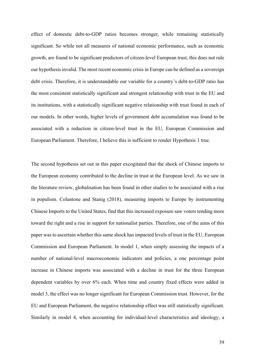effect of domestic debt-to-GDP ratios becomes stronger, while remaining statistically significant. So while not all measures of national economic performance, such as economic growth, are found to be significant predictors of citizen-level European trust, this does not rule our hypothesis invalid. The most recent economic crisis in Europe can be defined as a sovereign debt crisis. Therefore, it is understandable our variable for a country's debt-to-GDP ratio has the most consistent statistically significant and strongest relationship with trust in the EU and its institutions, with a statistically significant negative relationship with trust found in each of our models. In other words, higher levels of government debt accumulation was found to be associated with a reduction in citizen-level trust in the EU, European Commission and European Parliament. Therefore, I believe this is sufficient to render Hypothesis 1 true.

The second hypothesis set out in this paper excogitated that the shock of Chinese imports to the European economy contributed to the decline in trust at the European level. As we saw in the literature review, globalisation has been found in other studies to be associated with a rise in populism. Colantone and Stanig (2018), measuring imports to Europe by instrumenting Chinese Imports to the United States, find that this increased exposure saw voters tending more toward the right and a rise in support for nationalist parties. Therefore, one of the aims of this paper was to ascertain whether this same shock has impacted levels of trust in the EU, European Commission and European Parliament. In model 1, when simply assessing the impacts of a number of national-level macroeconomic indicators and policies, a one percentage point increase in Chinese imports was associated with a decline in trust for the three European dependent variables by over 6% each. When time and country fixed effects were added in model 3, the effect was no longer significant for European Commission trust. However, for the EU and European Parliament, the negative relationship effect was still statistically significant. Similarly in model 4, when accounting for individual-level characteristics and ideology, a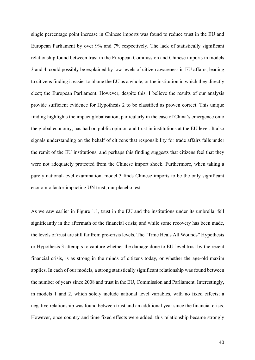single percentage point increase in Chinese imports was found to reduce trust in the EU and European Parliament by over 9% and 7% respectively. The lack of statistically significant relationship found between trust in the European Commission and Chinese imports in models 3 and 4, could possibly be explained by low levels of citizen awareness in EU affairs, leading to citizens finding it easier to blame the EU as a whole, or the institution in which they directly elect; the European Parliament. However, despite this, I believe the results of our analysis provide sufficient evidence for Hypothesis 2 to be classified as proven correct. This unique finding highlights the impact globalisation, particularly in the case of China's emergence onto the global economy, has had on public opinion and trust in institutions at the EU level. It also signals understanding on the behalf of citizens that responsibility for trade affairs falls under the remit of the EU institutions, and perhaps this finding suggests that citizens feel that they were not adequately protected from the Chinese import shock. Furthermore, when taking a purely national-level examination, model 3 finds Chinese imports to be the only significant economic factor impacting UN trust; our placebo test.

As we saw earlier in Figure 1.1, trust in the EU and the institutions under its umbrella, fell significantly in the aftermath of the financial crisis; and while some recovery has been made, the levels of trust are still far from pre-crisis levels. The "Time Heals All Wounds" Hypothesis or Hypothesis 3 attempts to capture whether the damage done to EU-level trust by the recent financial crisis, is as strong in the minds of citizens today, or whether the age-old maxim applies. In each of our models, a strong statistically significant relationship was found between the number of years since 2008 and trust in the EU, Commission and Parliament. Interestingly, in models 1 and 2, which solely include national level variables, with no fixed effects; a negative relationship was found between trust and an additional year since the financial crisis. However, once country and time fixed effects were added, this relationship became strongly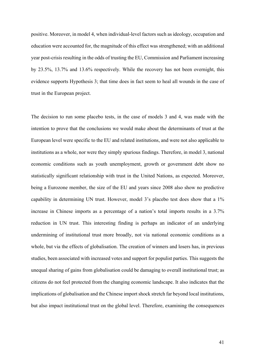positive. Moreover, in model 4, when individual-level factors such as ideology, occupation and education were accounted for, the magnitude of this effect was strengthened; with an additional year post-crisis resulting in the odds of trusting the EU, Commission and Parliament increasing by 23.5%, 13.7% and 13.6% respectively. While the recovery has not been overnight, this evidence supports Hypothesis 3; that time does in fact seem to heal all wounds in the case of trust in the European project.

The decision to run some placebo tests, in the case of models 3 and 4, was made with the intention to prove that the conclusions we would make about the determinants of trust at the European level were specific to the EU and related institutions, and were not also applicable to institutions as a whole, nor were they simply spurious findings. Therefore, in model 3, national economic conditions such as youth unemployment, growth or government debt show no statistically significant relationship with trust in the United Nations, as expected. Moreover, being a Eurozone member, the size of the EU and years since 2008 also show no predictive capability in determining UN trust. However, model 3's placebo test does show that a 1% increase in Chinese imports as a percentage of a nation's total imports results in a 3.7% reduction in UN trust. This interesting finding is perhaps an indicator of an underlying undermining of institutional trust more broadly, not via national economic conditions as a whole, but via the effects of globalisation. The creation of winners and losers has, in previous studies, been associated with increased votes and support for populist parties. This suggests the unequal sharing of gains from globalisation could be damaging to overall institutional trust; as citizens do not feel protected from the changing economic landscape. It also indicates that the implications of globalisation and the Chinese import shock stretch far beyond local institutions, but also impact institutional trust on the global level. Therefore, examining the consequences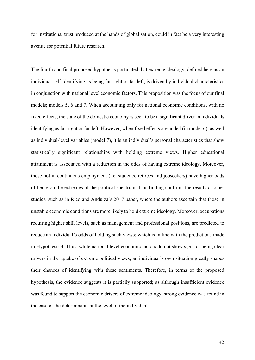for institutional trust produced at the hands of globalisation, could in fact be a very interesting avenue for potential future research.

The fourth and final proposed hypothesis postulated that extreme ideology, defined here as an individual self-identifying as being far-right or far-left, is driven by individual characteristics in conjunction with national level economic factors. This proposition was the focus of our final models; models 5, 6 and 7. When accounting only for national economic conditions, with no fixed effects, the state of the domestic economy is seen to be a significant driver in individuals identifying as far-right or far-left. However, when fixed effects are added (in model 6), as well as individual-level variables (model 7), it is an individual's personal characteristics that show statistically significant relationships with holding extreme views. Higher educational attainment is associated with a reduction in the odds of having extreme ideology. Moreover, those not in continuous employment (i.e. students, retirees and jobseekers) have higher odds of being on the extremes of the political spectrum. This finding confirms the results of other studies, such as in Rico and Anduiza's 2017 paper, where the authors ascertain that those in unstable economic conditions are more likely to hold extreme ideology. Moreover, occupations requiring higher skill levels, such as management and professional positions, are predicted to reduce an individual's odds of holding such views; which is in line with the predictions made in Hypothesis 4. Thus, while national level economic factors do not show signs of being clear drivers in the uptake of extreme political views; an individual's own situation greatly shapes their chances of identifying with these sentiments. Therefore, in terms of the proposed hypothesis, the evidence suggests it is partially supported; as although insufficient evidence was found to support the economic drivers of extreme ideology, strong evidence was found in the case of the determinants at the level of the individual.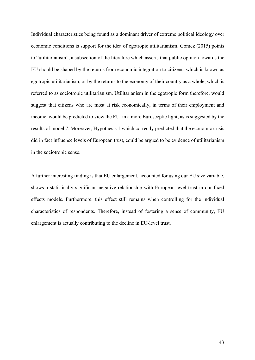Individual characteristics being found as a dominant driver of extreme political ideology over economic conditions is support for the idea of egotropic utilitarianism. Gomez (2015) points to "utilitarianism", a subsection of the literature which asserts that public opinion towards the EU should be shaped by the returns from economic integration to citizens, which is known as egotropic utilitarianism, or by the returns to the economy of their country as a whole, which is referred to as sociotropic utilitarianism. Utilitarianism in the egotropic form therefore, would suggest that citizens who are most at risk economically, in terms of their employment and income, would be predicted to view the EU in a more Eurosceptic light; as is suggested by the results of model 7. Moreover, Hypothesis 1 which correctly predicted that the economic crisis did in fact influence levels of European trust, could be argued to be evidence of utilitarianism in the sociotropic sense.

A further interesting finding is that EU enlargement, accounted for using our EU size variable, shows a statistically significant negative relationship with European-level trust in our fixed effects models. Furthermore, this effect still remains when controlling for the individual characteristics of respondents. Therefore, instead of fostering a sense of community, EU enlargement is actually contributing to the decline in EU-level trust.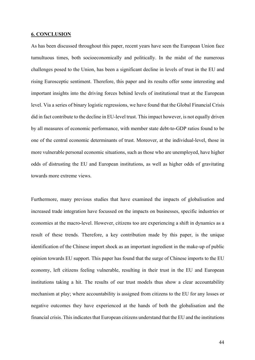#### **6. CONCLUSION**

As has been discussed throughout this paper, recent years have seen the European Union face tumultuous times, both socioeconomically and politically. In the midst of the numerous challenges posed to the Union, has been a significant decline in levels of trust in the EU and rising Eurosceptic sentiment. Therefore, this paper and its results offer some interesting and important insights into the driving forces behind levels of institutional trust at the European level. Via a series of binary logistic regressions, we have found that the Global Financial Crisis did in fact contribute to the decline in EU-level trust. This impact however, is not equally driven by all measures of economic performance, with member state debt-to-GDP ratios found to be one of the central economic determinants of trust. Moreover, at the individual-level, those in more vulnerable personal economic situations, such as those who are unemployed, have higher odds of distrusting the EU and European institutions, as well as higher odds of gravitating towards more extreme views.

Furthermore, many previous studies that have examined the impacts of globalisation and increased trade integration have focussed on the impacts on businesses, specific industries or economies at the macro-level. However, citizens too are experiencing a shift in dynamics as a result of these trends. Therefore, a key contribution made by this paper, is the unique identification of the Chinese import shock as an important ingredient in the make-up of public opinion towards EU support. This paper has found that the surge of Chinese imports to the EU economy, left citizens feeling vulnerable, resulting in their trust in the EU and European institutions taking a hit. The results of our trust models thus show a clear accountability mechanism at play; where accountability is assigned from citizens to the EU for any losses or negative outcomes they have experienced at the hands of both the globalisation and the financial crisis. This indicates that European citizens understand that the EU and the institutions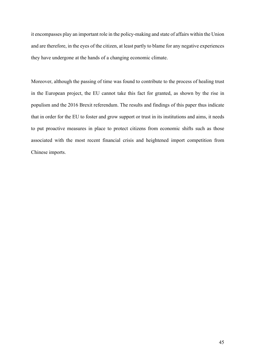it encompasses play an important role in the policy-making and state of affairs within the Union and are therefore, in the eyes of the citizen, at least partly to blame for any negative experiences they have undergone at the hands of a changing economic climate.

Moreover, although the passing of time was found to contribute to the process of healing trust in the European project, the EU cannot take this fact for granted, as shown by the rise in populism and the 2016 Brexit referendum. The results and findings of this paper thus indicate that in order for the EU to foster and grow support or trust in its institutions and aims, it needs to put proactive measures in place to protect citizens from economic shifts such as those associated with the most recent financial crisis and heightened import competition from Chinese imports.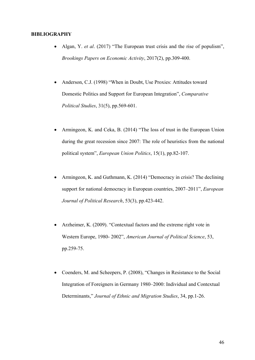#### **BIBLIOGRAPHY**

- Algan, Y. *et al*. (2017) "The European trust crisis and the rise of populism", *Brookings Papers on Economic Activity*, 2017(2), pp.309-400.
- Anderson, C.J. (1998) "When in Doubt, Use Proxies: Attitudes toward Domestic Politics and Support for European Integration", *Comparative Political Studies*, 31(5), pp.569-601.
- Armingeon, K. and Ceka, B. (2014) "The loss of trust in the European Union during the great recession since 2007: The role of heuristics from the national political system", *European Union Politics*, 15(1), pp.82-107.
- Armingeon, K. and Guthmann, K. (2014) "Democracy in crisis? The declining support for national democracy in European countries, 2007–2011", *European Journal of Political Research*, 53(3), pp.423-442.
- Arzheimer, K. (2009). "Contextual factors and the extreme right vote in Western Europe, 1980- 2002", *American Journal of Political Science*, 53, pp.259-75.
- Coenders, M. and Scheepers, P. (2008), "Changes in Resistance to the Social Integration of Foreigners in Germany 1980–2000: Individual and Contextual Determinants," *Journal of Ethnic and Migration Studies*, 34, pp.1-26.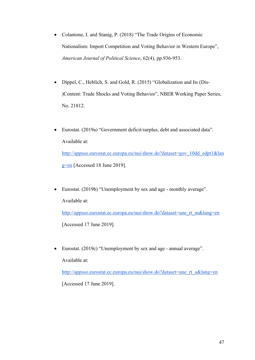- Colantone, I. and Stanig, P. (2018) "The Trade Origins of Economic Nationalism: Import Competition and Voting Behavior in Western Europe", *American Journal of Political Science*, 62(4), pp.936-953.
- Dippel, C., Heblich, S. and Gold, R. (2015) "Globalization and Its (Dis- )Content: Trade Shocks and Voting Behavior", NBER Working Paper Series, No. 21812.
- Eurostat. (2019a) "Government deficit/surplus, debt and associated data". Available at: http://appsso.eurostat.ec.europa.eu/nui/show.do?dataset=gov\_10dd\_edpt1&lan g=en [Accessed 18 June 2019].
- Eurostat. (2019b) "Unemployment by sex and age monthly average". Available at: http://appsso.eurostat.ec.europa.eu/nui/show.do?dataset=une\_rt\_m&lang=en

[Accessed 17 June 2019].

• Eurostat. (2019c) "Unemployment by sex and age - annual average".

Available at:

http://appsso.eurostat.ec.europa.eu/nui/show.do?dataset=une\_rt\_a&lang=en

[Accessed 17 June 2019].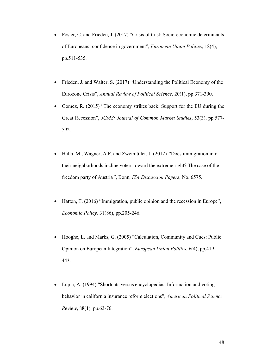- Foster, C. and Frieden, J. (2017) "Crisis of trust: Socio-economic determinants of Europeans' confidence in government", *European Union Politics*, 18(4), pp.511-535.
- Frieden, J. and Walter, S. (2017) "Understanding the Political Economy of the Eurozone Crisis", *Annual Review of Political Science*, 20(1), pp.371-390.
- Gomez, R. (2015) "The economy strikes back: Support for the EU during the Great Recession", *JCMS: Journal of Common Market Studies*, 53(3), pp.577- 592.
- Halla, M., Wagner, A.F. and Zweimüller, J. (2012) *"*Does immigration into their neighborhoods incline voters toward the extreme right? The case of the freedom party of Austria*"*, Bonn, *IZA Discussion Papers*, No. 6575.
- Hatton, T. (2016) "Immigration, public opinion and the recession in Europe", *Economic Policy,* 31(86), pp.205-246.
- Hooghe, L. and Marks, G. (2005) "Calculation, Community and Cues: Public Opinion on European Integration", *European Union Politics*, 6(4), pp.419- 443.
- Lupia, A. (1994) "Shortcuts versus encyclopedias: Information and voting behavior in california insurance reform elections", *American Political Science Review*, 88(1), pp.63-76.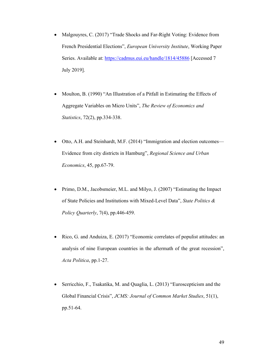- Malgouyres, C. (2017) "Trade Shocks and Far-Right Voting: Evidence from French Presidential Elections", *European University Institute*, Working Paper Series. Available at: https://cadmus.eui.eu/handle/1814/45886 [Accessed 7 July 2019].
- Moulton, B. (1990) "An Illustration of a Pitfall in Estimating the Effects of Aggregate Variables on Micro Units", *The Review of Economics and Statistics*, 72(2), pp.334-338.
- Otto, A.H. and Steinhardt, M.F. (2014) "Immigration and election outcomes— Evidence from city districts in Hamburg", *Regional Science and Urban Economics*, 45, pp.67-79.
- Primo, D.M., Jacobsmeier, M.L. and Milyo, J. (2007) "Estimating the Impact of State Policies and Institutions with Mixed-Level Data", *State Politics & Policy Quarterly*, 7(4), pp.446-459.
- Rico, G. and Anduiza, E. (2017) "Economic correlates of populist attitudes: an analysis of nine European countries in the aftermath of the great recession", *Acta Politica*, pp.1-27.
- Serricchio, F., Tsakatika, M. and Quaglia, L. (2013) "Euroscepticism and the Global Financial Crisis", *JCMS: Journal of Common Market Studies*, 51(1), pp.51-64.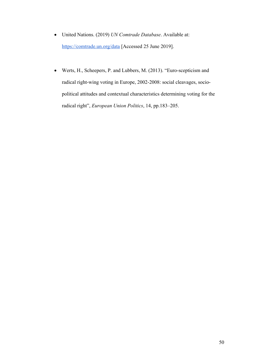- United Nations. (2019) *UN Comtrade Database*. Available at: https://comtrade.un.org/data [Accessed 25 June 2019].
- Werts, H., Scheepers, P. and Lubbers, M. (2013). "Euro-scepticism and radical right-wing voting in Europe, 2002-2008: social cleavages, sociopolitical attitudes and contextual characteristics determining voting for the radical right", *European Union Politics*, 14, pp.183–205.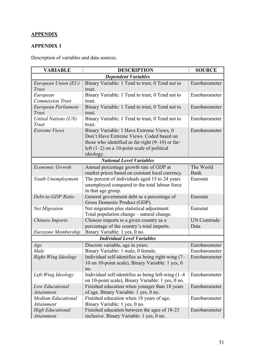# **APPENDIX**

## **APPENDIX 1**

Description of variables and data sources.

| <b>VARIABLE</b>           | <b>DESCRIPTION</b>                                                                    | <b>SOURCE</b>      |  |  |  |
|---------------------------|---------------------------------------------------------------------------------------|--------------------|--|--|--|
|                           | <b>Dependent Variables</b>                                                            |                    |  |  |  |
| European Union (EU)       | Binary Variable: 1 Tend to trust, 0 Tend not to                                       | Eurobarometer      |  |  |  |
| Trust                     | trust.                                                                                |                    |  |  |  |
| European                  | Binary Variable: 1 Tend to trust, 0 Tend not to                                       | Eurobarometer      |  |  |  |
| <b>Commission Trust</b>   | trust.                                                                                |                    |  |  |  |
| European Parliament       | Binary Variable: 1 Tend to trust, 0 Tend not to                                       | Eurobarometer      |  |  |  |
| Trust                     | trust.                                                                                |                    |  |  |  |
| United Nations (UN)       | Binary Variable: 1 Tend to trust, 0 Tend not to                                       | Eurobarometer      |  |  |  |
| Trust                     | trust.                                                                                |                    |  |  |  |
| <b>Extreme Views</b>      | Binary Variable: 1 Have Extreme Views, 0                                              | Eurobarometer      |  |  |  |
|                           | Don't Have Extreme Views. Coded based on                                              |                    |  |  |  |
|                           | those who identified as far-right $(9-10)$ or far-                                    |                    |  |  |  |
|                           | left $(1-2)$ on a 10-point scale of political                                         |                    |  |  |  |
|                           | ideology.                                                                             |                    |  |  |  |
|                           | <b>National Level Variables</b>                                                       |                    |  |  |  |
| Economic Growth           | Annual percentage growth rate of GDP at                                               | The World          |  |  |  |
|                           | market prices based on constant local currency.                                       | Bank               |  |  |  |
| Youth Unemployment        | The percent of individuals aged 15 to 24 years                                        | Eurostat           |  |  |  |
|                           | unemployed compared to the total labour force                                         |                    |  |  |  |
|                           | in that age group.                                                                    |                    |  |  |  |
| Debt-to-GDP Ratio         | General government debt as a percentage of                                            | Eurostat           |  |  |  |
|                           | Gross Domestic Product (GDP).                                                         |                    |  |  |  |
| <b>Net Migration</b>      | Net migration plus statistical adjustment:                                            | Eurostat           |  |  |  |
|                           | Total population change – natural change.                                             |                    |  |  |  |
| Chinese Imports           | Chinese imports to a given country as a                                               | <b>UN Comtrade</b> |  |  |  |
|                           | percentage of the country's total imports.                                            | Data               |  |  |  |
| Eurozone Membership       | Binary Variable: 1 yes, 0 no.                                                         |                    |  |  |  |
|                           | <b>Individual Level Variables</b>                                                     |                    |  |  |  |
| Age                       | Discrete variable, age in years.                                                      | Eurobarometer      |  |  |  |
| Male                      | Binary Variable: 1 male, 0 female.                                                    | Eurobarometer      |  |  |  |
| Right-Wing Ideology       | Individual self-identifies as being right-wing $(7 - \mathbb{E} \text{urobarometer})$ |                    |  |  |  |
|                           | 10 on 10-point scale), Binary Variable: 1 yes, 0                                      |                    |  |  |  |
|                           | no.                                                                                   |                    |  |  |  |
| Left-Wing Ideology        | Individual self-identifies as being left-wing $(1-4)$                                 | Eurobarometer      |  |  |  |
|                           | on 10-point scale), Binary Variable: 1 yes, 0 no.                                     |                    |  |  |  |
| Low Educational           | Finished education when younger than 18 years                                         | Eurobarometer      |  |  |  |
| <b>Attainment</b>         | of age. Binary Variable: 1 yes, 0 no.                                                 |                    |  |  |  |
| <b>Medium Educational</b> | Finished education when 18 years of age.                                              | Eurobarometer      |  |  |  |
| <i>Attainment</i>         | Binary Variable: 1 yes, 0 no.                                                         |                    |  |  |  |
| <b>High Educational</b>   | Finished education between the ages of 18-23                                          | Eurobarometer      |  |  |  |
| <b>Attainment</b>         | inclusive. Binary Variable: 1 yes, 0 no.                                              |                    |  |  |  |